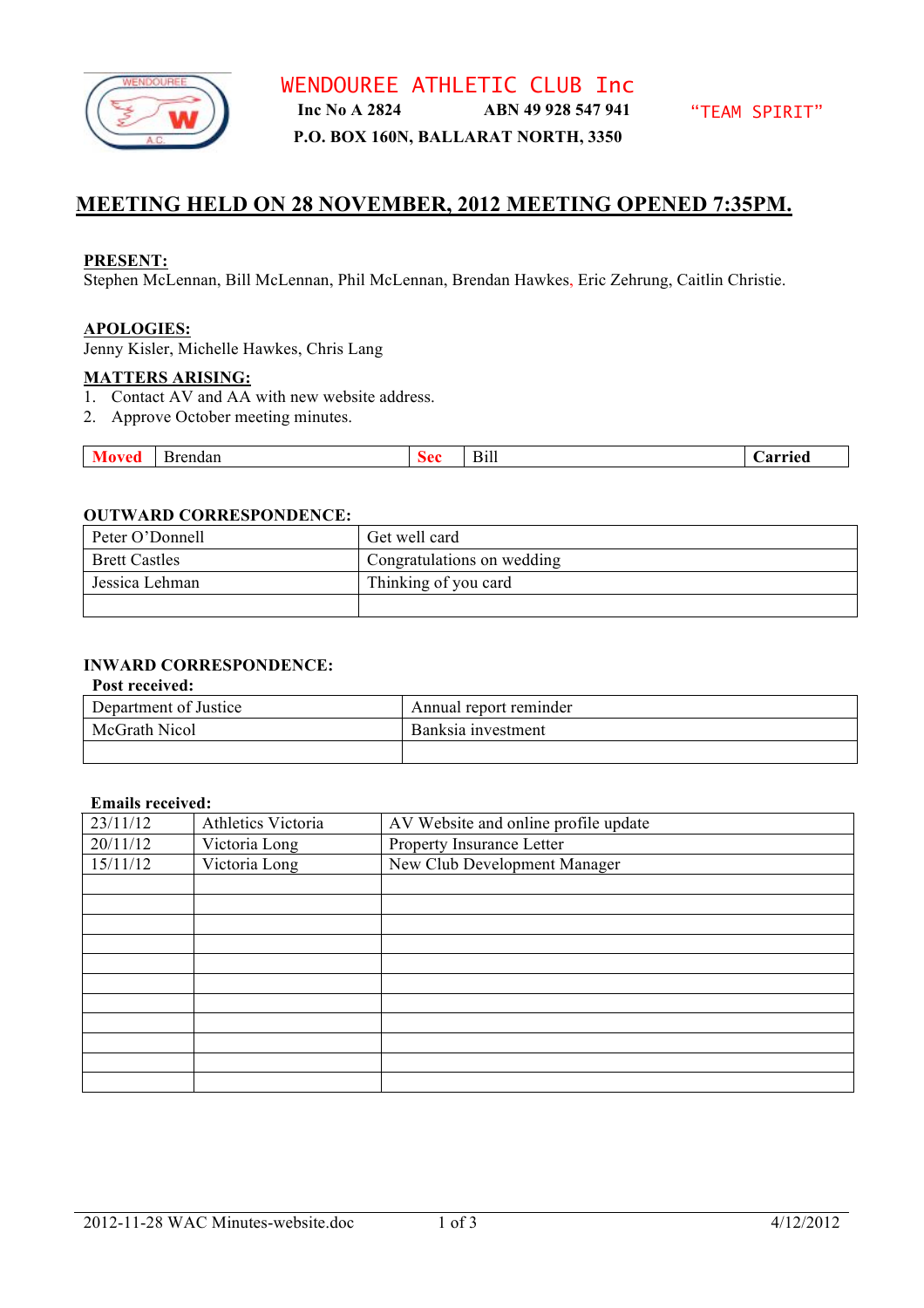

# **MEETING HELD ON 28 NOVEMBER, 2012 MEETING OPENED 7:35PM.**

### **PRESENT:**

Stephen McLennan, Bill McLennan, Phil McLennan, Brendan Hawkes, Eric Zehrung, Caitlin Christie.

# **APOLOGIES:**

Jenny Kisler, Michelle Hawkes, Chris Lang

#### **MATTERS ARISING:**

- 1. Contact AV and AA with new website address.
- 2. Approve October meeting minutes.

| $-$ | <b>Brendan</b> | --- | $ -$<br>-B1lı | arrıed |
|-----|----------------|-----|---------------|--------|

### **OUTWARD CORRESPONDENCE:**

| Peter O'Donnell      | Get well card              |
|----------------------|----------------------------|
| <b>Brett Castles</b> | Congratulations on wedding |
| Jessica Lehman       | Thinking of you card       |
|                      |                            |

# **INWARD CORRESPONDENCE:**

#### **Post received:**

| Department of Justice | Annual report reminder |
|-----------------------|------------------------|
| McGrath Nicol         | Banksia investment     |
|                       |                        |

#### **Emails received:**

| 23/11/12 | Athletics Victoria | AV Website and online profile update |  |
|----------|--------------------|--------------------------------------|--|
| 20/11/12 | Victoria Long      | Property Insurance Letter            |  |
| 15/11/12 | Victoria Long      | New Club Development Manager         |  |
|          |                    |                                      |  |
|          |                    |                                      |  |
|          |                    |                                      |  |
|          |                    |                                      |  |
|          |                    |                                      |  |
|          |                    |                                      |  |
|          |                    |                                      |  |
|          |                    |                                      |  |
|          |                    |                                      |  |
|          |                    |                                      |  |
|          |                    |                                      |  |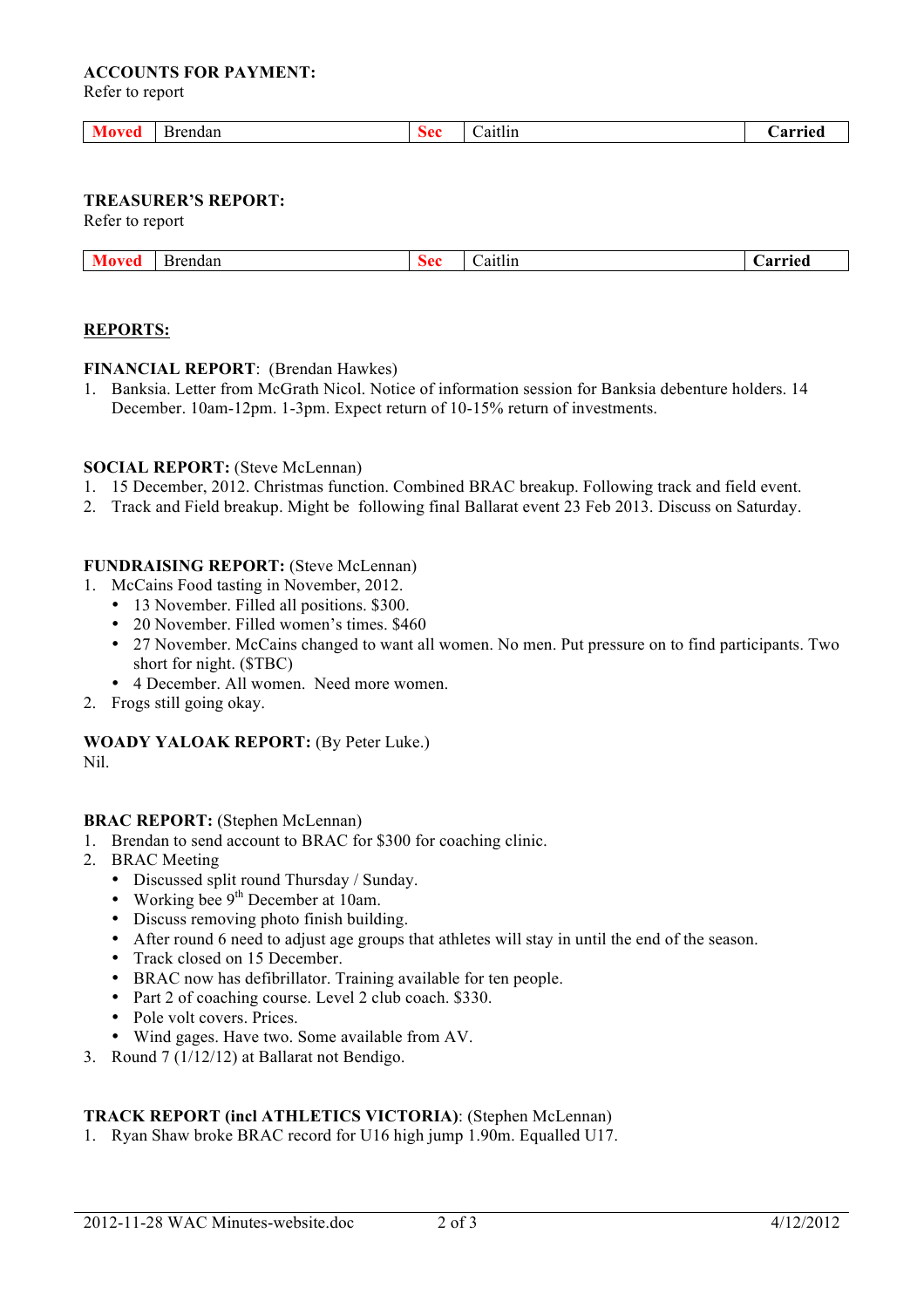# **ACCOUNTS FOR PAYMENT:**

Refer to report

| .<br>эпаат. | $\mathbf{v}$ | -11. | A 1111A |
|-------------|--------------|------|---------|
|             |              |      |         |

# **TREASURER'S REPORT:**

Refer to report

| .<br>-- | rendan<br>ור | ממצ<br>$\overline{\mathbf{C}}$ | aitlin | arried<br>. ZD<br>$\cdots$ $\cdots$ |
|---------|--------------|--------------------------------|--------|-------------------------------------|

# **REPORTS:**

# **FINANCIAL REPORT**: (Brendan Hawkes)

1. Banksia. Letter from McGrath Nicol. Notice of information session for Banksia debenture holders. 14 December. 10am-12pm. 1-3pm. Expect return of 10-15% return of investments.

### **SOCIAL REPORT:** (Steve McLennan)

- 1. 15 December, 2012. Christmas function. Combined BRAC breakup. Following track and field event.
- 2. Track and Field breakup. Might be following final Ballarat event 23 Feb 2013. Discuss on Saturday.

### **FUNDRAISING REPORT:** (Steve McLennan)

- 1. McCains Food tasting in November, 2012.
	- 13 November. Filled all positions. \$300.
	- 20 November. Filled women's times. \$460
	- 27 November. McCains changed to want all women. No men. Put pressure on to find participants. Two short for night. (\$TBC)
	- 4 December. All women. Need more women.
- 2. Frogs still going okay.

## **WOADY YALOAK REPORT:** (By Peter Luke.)

Nil.

### **BRAC REPORT:** (Stephen McLennan)

- 1. Brendan to send account to BRAC for \$300 for coaching clinic.
- 2. BRAC Meeting
	- Discussed split round Thursday / Sunday.
	- Working bee  $9<sup>th</sup>$  December at 10am.
	- Discuss removing photo finish building.
	- After round 6 need to adjust age groups that athletes will stay in until the end of the season.
	- Track closed on 15 December.
	- BRAC now has defibrillator. Training available for ten people.
	- Part 2 of coaching course. Level 2 club coach. \$330.
	- Pole volt covers. Prices.
	- Wind gages. Have two. Some available from AV.
- 3. Round 7 (1/12/12) at Ballarat not Bendigo.

### **TRACK REPORT (incl ATHLETICS VICTORIA)**: (Stephen McLennan)

1. Ryan Shaw broke BRAC record for U16 high jump 1.90m. Equalled U17.